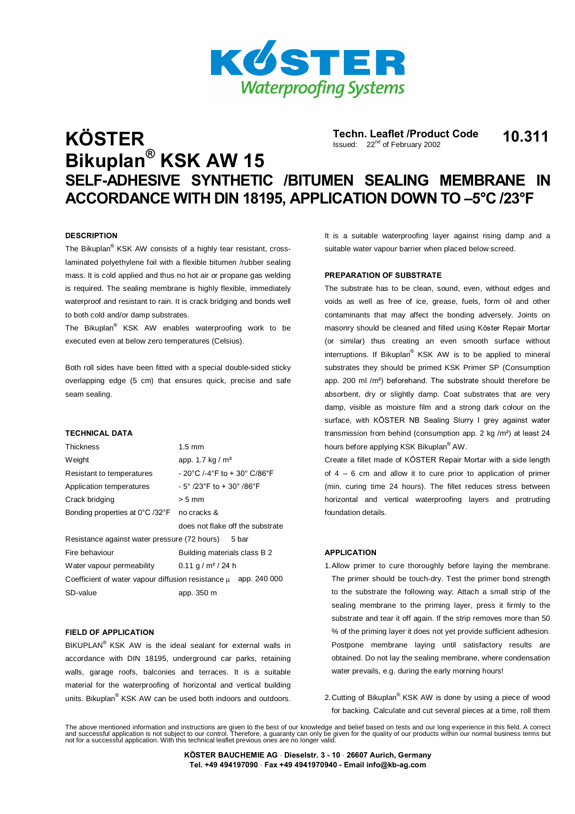

# **Techn. Leaflet /Product Code K÷STER Bikuplan <sup>Æ</sup> KSK AW 15** Issued: 22<sup>nd</sup> of February 2002 Techn. Leaflet /Product Code 10.311 **SELF-ADHESIVE SYNTHETIC /BITUMEN SEALING MEMBRANE IN ACCORDANCE WITH DIN 18195, APPLICATION DOWN TO ñ5°C /23°F**

#### **DESCRIPTION**

The Bikuplan<sup>®</sup> KSK AW consists of a highly tear resistant, crosslaminated polyethylene foil with a flexible bitumen /rubber sealing mass. It is cold applied and thus no hot air or propane gas welding is required. The sealing membrane is highly flexible, immediately waterproof and resistant to rain. It is crack bridging and bonds well to both cold and/or damp substrates.

The Bikuplan<sup>®</sup> KSK AW enables waterproofing work to be executed even at below zero temperatures (Celsius).

Both roll sides have been fitted with a special double-sided sticky overlapping edge (5 cm) that ensures quick, precise and safe seam sealing.

#### **TECHNICAL DATA**

| Thickness                                                           | $1.5 \text{ mm}$                                                  |
|---------------------------------------------------------------------|-------------------------------------------------------------------|
| W eight                                                             | app. 1.7 kg / $m2$                                                |
| Resistant to temperatures                                           | $-$ 20°C /-4°F to + 30° C/86°F                                    |
| Application temperatures                                            | $-5^{\circ}$ /23 $^{\circ}$ F to + 30 $^{\circ}$ /86 $^{\circ}$ F |
| Crack bridging                                                      | $> 5$ mm                                                          |
| Bonding properties at 0°C /32°F                                     | no cracks &                                                       |
|                                                                     | does not flake off the substrate                                  |
| Resistance against water pressure (72 hours) 5 bar                  |                                                                   |
|                                                                     |                                                                   |
| Fire behaviour                                                      | Building materials class B 2                                      |
| Water vapour permeability                                           | $0.11$ g / m <sup>2</sup> / 24 h                                  |
| Coefficient of water vapour diffusion resistance $\mu$ app. 240 000 |                                                                   |
| SD-value                                                            | app. 350 m                                                        |

#### **FIELD OF APPLICATION**

BIKUPLAN<sup>®</sup> KSK AW is the ideal sealant for external walls in accordance with DIN 18195, underground car parks, retaining walls, garage roofs, balconies and terraces. It is a suitable material for the waterproofing of horizontal and vertical building units. Bikuplan<sup>®</sup> KSK AW can be used both indoors and outdoors.

It is a suitable waterproofing layer against rising damp and a suitable water vapour barrier when placed below screed.

## **PREPARATION OF SUBSTRATE**

The substrate has to be clean, sound, even, without edges and voids as well as free of ice, grease, fuels, form oil and other contaminants that may affect the bonding adversely. Joints on masonry should be cleaned and filled using Köster Repair Mortar (or similar) thus creating an even smooth surface without interruptions. If Bikuplan<sup>®</sup> KSK AW is to be applied to mineral substrates they should be primed KSK Primer SP (Consumption app. 200 ml /m²) beforehand. The substrate should therefore be absorbent, dry or slightly damp. Coat substrates that are very damp, visible as moisture film and a strong dark colour on the surface, with KÖSTER NB Sealing Slurry I grey against water transmission from behind (consumption app. 2 kg /m²) at least 24 hours before applying KSK Bikuplan® AW.

Create a fillet made of KÖSTER Repair Mortar with a side length of  $4 - 6$  cm and allow it to cure prior to application of primer (min. curing time 24 hours). The fillet reduces stress between horizontal and vertical waterproofing layers and protruding foundation details.

#### **APPLICATION**

- 1.Allow primer to cure thoroughly before laying the membrane. The primer should be touch-dry. Test the primer bond strength to the substrate the following way: Attach a small strip of the sealing membrane to the priming layer, press it firmly to the substrate and tear it off again. If the strip removes more than 50 % of the priming layer it does not yet provide sufficient adhesion. Postpone membrane laying until satisfactory results are obtained. Do not lay the sealing membrane, where condensation water prevails, e.g. during the early morning hours!
- 2.Cutting of Bikuplan<sup>®</sup> KSK AW is done by using a piece of wood for backing. Calculate and cut several pieces at a time, roll them

The above mentioned information and instructions are given to the best of our knowledge and belief based on tests and our long experience in this field. A correct<br>and successful application is not subject to our control. T

**K÷STER BAUCHEMIE AG Dieselstr. 3 - 10 26607 Aurich, Germany Tel. +49 494197090 Fax +49 4941970940 - Email [info@kb-ag.com](mailto:info@kb-ag.com)**